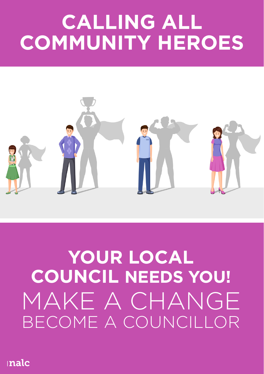# **CALLING ALL COMMUNITY HEROES**



## **YOUR LOCAL COUNCIL NEEDS YOU!** MAKE A CHANGE BECOME A COUNCILLOR

inalc